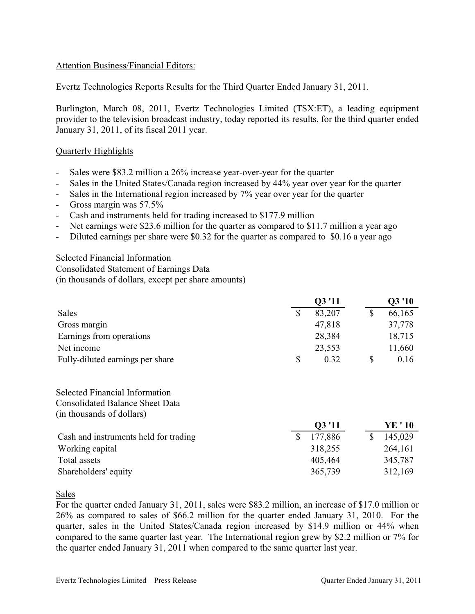### Attention Business/Financial Editors:

Evertz Technologies Reports Results for the Third Quarter Ended January 31, 2011.

Burlington, March 08, 2011, Evertz Technologies Limited (TSX:ET), a leading equipment provider to the television broadcast industry, today reported its results, for the third quarter ended January 31, 2011, of its fiscal 2011 year.

### Quarterly Highlights

- Sales were \$83.2 million a 26% increase year-over-year for the quarter
- Sales in the United States/Canada region increased by 44% year over year for the quarter
- Sales in the International region increased by 7% year over year for the quarter
- Gross margin was 57.5%
- Cash and instruments held for trading increased to \$177.9 million
- Net earnings were \$23.6 million for the quarter as compared to \$11.7 million a year ago
- Diluted earnings per share were \$0.32 for the quarter as compared to \$0.16 a year ago

Selected Financial Information Consolidated Statement of Earnings Data (in thousands of dollars, except per share amounts)

|                                  | Q3'11      | Q3 '10 |
|----------------------------------|------------|--------|
| Sales                            | 83,207     | 66,165 |
| Gross margin                     | 47,818     | 37,778 |
| Earnings from operations         | 28,384     | 18,715 |
| Net income                       | 23,553     | 11,660 |
| Fully-diluted earnings per share | \$<br>0.32 | 0.16   |

Selected Financial Information Consolidated Balance Sheet Data (in thousands of dollars)

|                                       | 03'11   | YE ' 10 |
|---------------------------------------|---------|---------|
| Cash and instruments held for trading | 177,886 | 145,029 |
| Working capital                       | 318,255 | 264,161 |
| Total assets                          | 405,464 | 345,787 |
| Shareholders' equity                  | 365,739 | 312,169 |

Sales

For the quarter ended January 31, 2011, sales were \$83.2 million, an increase of \$17.0 million or 26% as compared to sales of \$66.2 million for the quarter ended January 31, 2010. For the quarter, sales in the United States/Canada region increased by \$14.9 million or 44% when compared to the same quarter last year. The International region grew by \$2.2 million or 7% for the quarter ended January 31, 2011 when compared to the same quarter last year.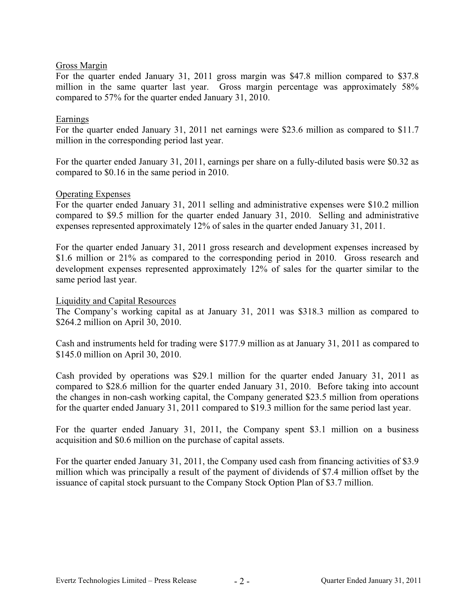### Gross Margin

For the quarter ended January 31, 2011 gross margin was \$47.8 million compared to \$37.8 million in the same quarter last year. Gross margin percentage was approximately 58% compared to 57% for the quarter ended January 31, 2010.

### Earnings

For the quarter ended January 31, 2011 net earnings were \$23.6 million as compared to \$11.7 million in the corresponding period last year.

For the quarter ended January 31, 2011, earnings per share on a fully-diluted basis were \$0.32 as compared to \$0.16 in the same period in 2010.

### Operating Expenses

For the quarter ended January 31, 2011 selling and administrative expenses were \$10.2 million compared to \$9.5 million for the quarter ended January 31, 2010. Selling and administrative expenses represented approximately 12% of sales in the quarter ended January 31, 2011.

For the quarter ended January 31, 2011 gross research and development expenses increased by \$1.6 million or 21% as compared to the corresponding period in 2010. Gross research and development expenses represented approximately 12% of sales for the quarter similar to the same period last year.

#### Liquidity and Capital Resources

The Company's working capital as at January 31, 2011 was \$318.3 million as compared to \$264.2 million on April 30, 2010.

Cash and instruments held for trading were \$177.9 million as at January 31, 2011 as compared to \$145.0 million on April 30, 2010.

Cash provided by operations was \$29.1 million for the quarter ended January 31, 2011 as compared to \$28.6 million for the quarter ended January 31, 2010. Before taking into account the changes in non-cash working capital, the Company generated \$23.5 million from operations for the quarter ended January 31, 2011 compared to \$19.3 million for the same period last year.

For the quarter ended January 31, 2011, the Company spent \$3.1 million on a business acquisition and \$0.6 million on the purchase of capital assets.

For the quarter ended January 31, 2011, the Company used cash from financing activities of \$3.9 million which was principally a result of the payment of dividends of \$7.4 million offset by the issuance of capital stock pursuant to the Company Stock Option Plan of \$3.7 million.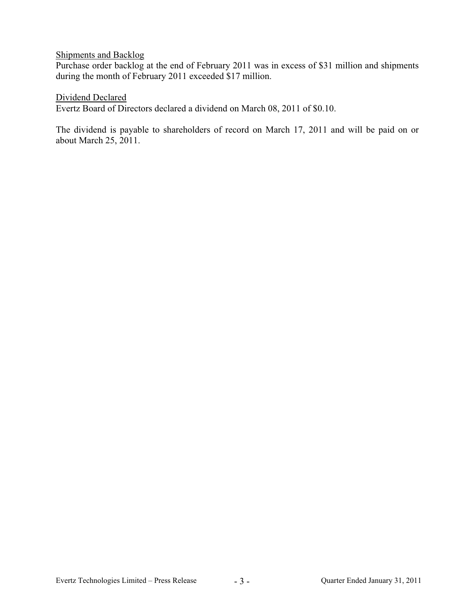## Shipments and Backlog

Purchase order backlog at the end of February 2011 was in excess of \$31 million and shipments during the month of February 2011 exceeded \$17 million.

### Dividend Declared

Evertz Board of Directors declared a dividend on March 08, 2011 of \$0.10.

The dividend is payable to shareholders of record on March 17, 2011 and will be paid on or about March 25, 2011.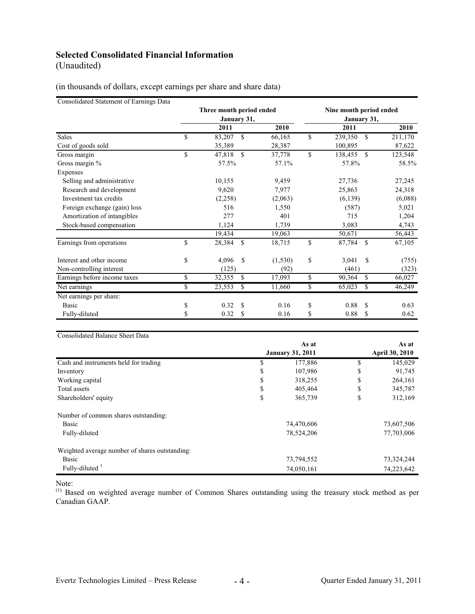# **Selected Consolidated Financial Information**

(Unaudited)

(in thousands of dollars, except earnings per share and share data)

Consolidated Statement of Earnings Data

|                              | Three month period ended<br>January 31, |                         | Nine month period ended<br>January 31, |               |               |         |
|------------------------------|-----------------------------------------|-------------------------|----------------------------------------|---------------|---------------|---------|
|                              |                                         | 2011                    | 2010                                   | 2011          |               | 2010    |
| <b>Sales</b>                 | \$                                      | 83,207<br>\$            | 66,165                                 | \$<br>239,350 | $\mathbb{S}$  | 211,170 |
| Cost of goods sold           |                                         | 35,389                  | 28,387                                 | 100,895       |               | 87,622  |
| Gross margin                 | \$                                      | \$.<br>47,818           | 37,778                                 | \$<br>138,455 | \$            | 123,548 |
| Gross margin %               |                                         | 57.5%                   | 57.1%                                  | 57.8%         |               | 58.5%   |
| Expenses                     |                                         |                         |                                        |               |               |         |
| Selling and administrative   |                                         | 10,155                  | 9,459                                  | 27,736        |               | 27,245  |
| Research and development     |                                         | 9,620                   | 7,977                                  | 25,863        |               | 24,318  |
| Investment tax credits       |                                         | (2,258)                 | (2,063)                                | (6,139)       |               | (6,088) |
| Foreign exchange (gain) loss |                                         | 516                     | 1,550                                  | (587)         |               | 5,021   |
| Amortization of intangibles  |                                         | 277                     | 401                                    | 715           |               | 1,204   |
| Stock-based compensation     |                                         | 1,124                   | 1,739                                  | 3,083         |               | 4,743   |
|                              |                                         | 19,434                  | 19,063                                 | 50,671        |               | 56,443  |
| Earnings from operations     | \$                                      | <sup>\$</sup><br>28,384 | 18,715                                 | \$<br>87,784  | <sup>\$</sup> | 67,105  |
| Interest and other income    | \$                                      | 4,096<br>S              | (1, 530)                               | \$<br>3,041   | S             | (755)   |
| Non-controlling interest     |                                         | (125)                   | (92)                                   | (461)         |               | (323)   |
| Earnings before income taxes | \$                                      | 32,355<br>S             | 17,093                                 | \$<br>90,364  | \$            | 66,027  |
| Net earnings                 | \$                                      | 23,553<br>\$            | 11,660                                 | \$<br>65,023  | \$            | 46,249  |
| Net earnings per share:      |                                         |                         |                                        |               |               |         |
| <b>Basic</b>                 | \$                                      | 0.32<br>\$              | 0.16                                   | \$<br>0.88    | <b>S</b>      | 0.63    |
| Fully-diluted                | \$                                      | S<br>0.32               | 0.16                                   | \$<br>0.88    | \$            | 0.62    |

Consolidated Balance Sheet Data

|                                                | As at<br><b>January 31, 2011</b> |            | As at      |                       |
|------------------------------------------------|----------------------------------|------------|------------|-----------------------|
|                                                |                                  |            |            | <b>April 30, 2010</b> |
| Cash and instruments held for trading          | S.                               | 177,886    | S          | 145,029               |
| Inventory                                      | \$                               | 107,986    | \$         | 91,745                |
| Working capital                                | \$                               | 318,255    | \$         | 264,161               |
| Total assets                                   | \$                               | 405,464    | \$         | 345,787               |
| Shareholders' equity                           | \$                               | 365,739    | \$         | 312,169               |
| Number of common shares outstanding:           |                                  |            |            |                       |
| Basic                                          | 74,470,606                       |            | 73,607,506 |                       |
| Fully-diluted                                  |                                  | 78,524,206 |            | 77,703,006            |
| Weighted average number of shares outstanding: |                                  |            |            |                       |
| Basic                                          |                                  | 73,794,552 |            | 73,324,244            |
| Fully-diluted <sup>1</sup>                     |                                  | 74,050,161 |            | 74,223,642            |

Note:

<sup>(1)</sup> Based on weighted average number of Common Shares outstanding using the treasury stock method as per Canadian GAAP.